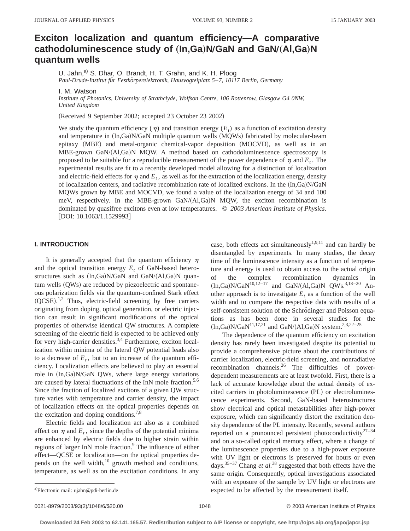# **Exciton localization and quantum efficiency—A comparative**  $R$  cathodoluminescence study of  $(\text{In},\text{Ga})\text{N/GaN}$  and  $\text{GaN}/(\text{Al},\text{Ga})\text{N}$ **quantum wells**

U. Jahn,<sup>a)</sup> S. Dhar, O. Brandt, H. T. Grahn, and K. H. Ploog

*Paul-Drude-Institut fu¨r Festko¨rperelektronik, Hausvogteiplatz 5*–*7, 10117 Berlin, Germany*

I. M. Watson

*Institute of Photonics, University of Strathclyde, Wolfson Centre, 106 Rottenrow, Glasgow G4 0NW, United Kingdom*

(Received 9 September 2002; accepted 23 October 23 2002)

We study the quantum efficiency ( $\eta$ ) and transition energy ( $E_t$ ) as a function of excitation density and temperature in  $(In,Ga)N/GaN$  multiple quantum wells  $(MQWs)$  fabricated by molecular-beam epitaxy (MBE) and metal-organic chemical-vapor deposition (MOCVD), as well as in an  $MBE$ -grown GaN/ $(AI, Ga)$ N MQW. A method based on cathodoluminescence spectroscopy is proposed to be suitable for a reproducible measurement of the power dependence of  $\eta$  and  $E_t$ . The experimental results are fit to a recently developed model allowing for a distinction of localization and electric-field effects for  $\eta$  and  $E_t$ , as well as for the extraction of the localization energy, density of localization centers, and radiative recombination rate of localized excitons. In the  $(In,Ga)N/GaN$ MQWs grown by MBE and MOCVD, we found a value of the localization energy of 34 and 100 meV, respectively. In the MBE-grown GaN/ $(A, Ga)$ N MQW, the exciton recombination is dominated by quasifree excitons even at low temperatures. © *2003 American Institute of Physics.* [DOI: 10.1063/1.1529993]

## **I. INTRODUCTION**

It is generally accepted that the quantum efficiency  $\eta$ and the optical transition energy  $E_t$  of GaN-based heterostructures such as  $(In,Ga)N/GaN$  and  $GaN/(Al,Ga)N$  quan $tum$  wells  $(QWs)$  are reduced by piezoelectric and spontaneous polarization fields via the quantum-confined Stark effect  $(QCSE).<sup>1,2</sup>$  Thus, electric-field screening by free carriers originating from doping, optical generation, or electric injection can result in significant modifications of the optical properties of otherwise identical QW structures. A complete screening of the electric field is expected to be achieved only for very high-carrier densities.<sup>3,4</sup> Furthermore, exciton localization within minima of the lateral QW potential leads also to a decrease of  $E_t$ , but to an increase of the quantum efficiency. Localization effects are believed to play an essential role in (In,Ga)N/GaN QWs, where large energy variations are caused by lateral fluctuations of the InN mole fraction.<sup>5,6</sup> Since the fraction of localized excitons of a given QW structure varies with temperature and carrier density, the impact of localization effects on the optical properties depends on the excitation and doping conditions.<sup>7,8</sup>

Electric fields and localization act also as a combined effect on  $\eta$  and  $E_t$ , since the depths of the potential minima are enhanced by electric fields due to higher strain within regions of larger InN mole fraction.<sup>9</sup> The influence of either effect—QCSE or localization—on the optical properties depends on the well width, $10$  growth method and conditions, temperature, as well as on the excitation conditions. In any case, both effects act simultaneously<sup>1,9,11</sup> and can hardly be disentangled by experiments. In many studies, the decay time of the luminescence intensity as a function of temperature and energy is used to obtain access to the actual origin of the complex recombination dynamics in  $(In, Ga)N/GaN^{10,12-17}$  and  $GaN/(Al,Ga)N$  QWs.<sup>3,18-20</sup> Another approach is to investigate  $E_t$  as a function of the well width and to compare the respective data with results of a self-consistent solution of the Schrödinger and Poisson equations as has been done in several studies for the  $(In,Ga)N/GaN^{11,17,21}$  and  $GaN/(Al,Ga)N$  system.<sup>2,3,22–25</sup>

The dependence of the quantum efficiency on excitation density has rarely been investigated despite its potential to provide a comprehensive picture about the contributions of carrier localization, electric-field screening, and nonradiative recombination channels.<sup>26</sup> The difficulties of powerdependent measurements are at least twofold. First, there is a lack of accurate knowledge about the actual density of excited carriers in photoluminescence (PL) or electroluminescence experiments. Second, GaN-based heterostructures show electrical and optical metastabilities after high-power exposure, which can significantly distort the excitation density dependence of the PL intensity. Recently, several authors reported on a pronounced persistent photoconductivity<sup>27–34</sup> and on a so-called optical memory effect, where a change of the luminescence properties due to a high-power exposure with UV light or electrons is preserved for hours or even days.35–37 Chang *et al.*<sup>38</sup> suggested that both effects have the same origin. Consequently, optical investigations associated with an exposure of the sample by UV light or electrons are expected to be affected by the measurement itself.

a)Electronic mail: ujahn@pdi-berlin.de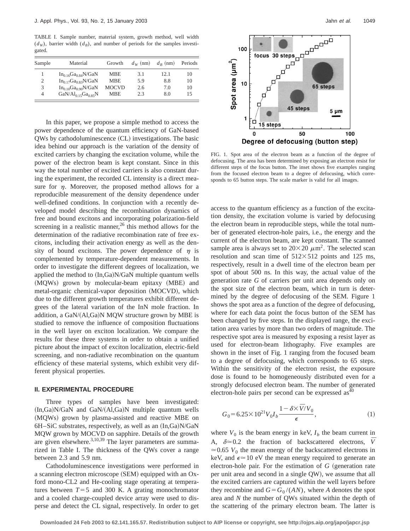TABLE I. Sample number, material system, growth method, well width  $(d_W)$ , barrier width  $(d_B)$ , and number of periods for the samples investigated.

| Sample | Material                  | Growth       | $d_{\rm w}$ (nm) | $d_R$ (nm) | Periods |
|--------|---------------------------|--------------|------------------|------------|---------|
|        | $In_{0.16}Ga_{0.84}N/GaN$ | <b>MBE</b>   | 3.1              | 12.1       | 10      |
|        | $In_{0.17}Ga_{0.83}N/GaN$ | <b>MBE</b>   | 5.9              | 8.8        | 10      |
| 3      | $In_{0.10}Ga_{0.90}N/GaN$ | <b>MOCVD</b> | 2.6              | 7.0        | 10      |
| 4      | $GaN/Al0.15Ga0.85N$       | <b>MBE</b>   | 2.3              | 8.0        | 15      |

In this paper, we propose a simple method to access the power dependence of the quantum efficiency of GaN-based  $QWs$  by cathodoluminescence  $(CL)$  investigations. The basic idea behind our approach is the variation of the density of excited carriers by changing the excitation volume, while the power of the electron beam is kept constant. Since in this way the total number of excited carriers is also constant during the experiment, the recorded CL intensity is a direct measure for  $\eta$ . Moreover, the proposed method allows for a reproducible measurement of the density dependence under well-defined conditions. In conjunction with a recently developed model describing the recombination dynamics of free and bound excitons and incorporating polarization-field screening in a realistic manner, $^{26}$  this method allows for the determination of the radiative recombination rate of free excitons, including their activation energy as well as the density of bound excitons. The power dependence of  $\eta$  is complemented by temperature-dependent measurements. In order to investigate the different degrees of localization, we applied the method to  $(In,Ga)N/GaN$  multiple quantum wells (MQWs) grown by molecular-beam epitaxy (MBE) and metal-organic chemical-vapor deposition (MOCVD), which due to the different growth temperatures exhibit different degrees of the lateral variation of the InN mole fraction. In addition, a GaN/(Al,Ga)N MQW structure grown by MBE is studied to remove the influence of composition fluctuations in the well layer on exciton localization. We compare the results for these three systems in order to obtain a unified picture about the impact of exciton localization, electric-field screening, and non-radiative recombination on the quantum efficiency of these material systems, which exhibit very different physical properties.

## **II. EXPERIMENTAL PROCEDURE**

Three types of samples have been investigated:  $(In,Ga)N/GaN$  and  $GaN/(Al,Ga)N$  multiple quantum wells (MOWs) grown by plasma-assisted and reactive MBE on  $6H-SiC$  substrates, respectively, as well as an  $(In,Ga)N/GaN$ MQW grown by MOCVD on sapphire. Details of the growth are given elsewhere.<sup>3,10,39</sup> The layer parameters are summarized in Table I. The thickness of the QWs cover a range between 2.3 and 5.9 nm.

Cathodoluminescence investigations were performed in a scanning electron microscope (SEM) equipped with an Oxford mono-CL2 and He-cooling stage operating at temperatures between  $T=5$  and 300 K. A grating monochromator and a cooled charge-coupled device array were used to disperse and detect the CL signal, respectively. In order to get



FIG. 1. Spot area of the electron beam as a function of the degree of defocusing. The area has been determined by exposing an electron resist for different steps of the focus button. The inset shows five examples ranging from the focused electron beam to a degree of defocusing, which corresponds to 65 button steps. The scale marker is valid for all images.

access to the quantum efficiency as a function of the excitation density, the excitation volume is varied by defocusing the electron beam in reproducible steps, while the total number of generated electron-hole pairs, i.e., the energy and the current of the electron beam, are kept constant. The scanned sample area is always set to  $20\times20 \ \mu \text{m}^2$ . The selected scan resolution and scan time of  $512\times512$  points and 125 ms, respectively, result in a dwell time of the electron beam per spot of about 500 ns. In this way, the actual value of the generation rate *G* of carriers per unit area depends only on the spot size of the electron beam, which in turn is determined by the degree of defocusing of the SEM. Figure 1 shows the spot area as a function of the degree of defocusing, where for each data point the focus button of the SEM has been changed by five steps. In the displayed range, the excitation area varies by more than two orders of magnitude. The respective spot area is measured by exposing a resist layer as used for electron-beam lithography. Five examples are shown in the inset of Fig. 1 ranging from the focused beam to a degree of defocusing, which corresponds to 65 steps. Within the sensitivity of the electron resist, the exposure dose is found to be homogeneously distributed even for a strongly defocused electron beam. The number of generated electron-hole pairs per second can be expressed as  $40^{\circ}$ 

$$
G_0 = 6.25 \times 10^{21} V_0 I_b \frac{1 - \delta \times \bar{V}/V_0}{\epsilon},
$$
\n(1)

where  $V_0$  is the beam energy in keV,  $I_b$  the beam current in A,  $\delta \approx 0.2$  the fraction of backscattered electrons,  $\overline{V}$  $\approx$  0.65 *V*<sub>0</sub> the mean energy of the backscattered electrons in keV, and  $\epsilon \approx 10$  eV the mean energy required to generate an electron-hole pair. For the estimation of  $G$  (generation rate per unit area and second in a single QW), we assume that all the excited carriers are captured within the well layers before they recombine and  $G = G_0 / (AN)$ , where *A* denotes the spot area and *N* the number of QWs situated within the depth of the scattering of the primary electron beam. The latter is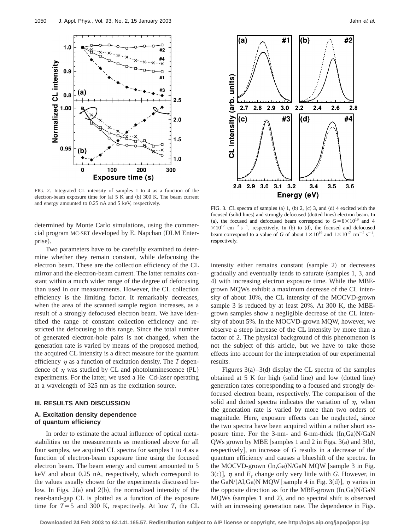

FIG. 2. Integrated CL intensity of samples 1 to 4 as a function of the electron-beam exposure time for  $(a)$  5 K and  $(b)$  300 K. The beam current and energy amounted to 0.25 nA and 5 keV, respectively.

determined by Monte Carlo simulations, using the commer $cial program MC-SET developed by E. Napoleon (DLM Enter- $Q$ )$ prise).

Two parameters have to be carefully examined to determine whether they remain constant, while defocusing the electron beam. These are the collection efficiency of the CL mirror and the electron-beam current. The latter remains constant within a much wider range of the degree of defocusing than used in our measurements. However, the CL collection efficiency is the limiting factor. It remarkably decreases, when the area of the scanned sample region increases, as a result of a strongly defocused electron beam. We have identified the range of constant collection efficiency and restricted the defocusing to this range. Since the total number of generated electron-hole pairs is not changed, when the generation rate is varied by means of the proposed method, the acquired CL intensity is a direct measure for the quantum efficiency  $\eta$  as a function of excitation density. The *T* dependence of  $\eta$  was studied by CL and photoluminescence (PL) experiments. For the latter, we used a He–Cd-laser operating at a wavelength of 325 nm as the excitation source.

## **III. RESULTS AND DISCUSSION**

# **A. Excitation density dependence of quantum efficiency**

In order to estimate the actual influence of optical metastabilities on the measurements as mentioned above for all four samples, we acquired CL spectra for samples 1 to 4 as a function of electron-beam exposure time using the focused electron beam. The beam energy and current amounted to 5 keV and about 0.25 nA, respectively, which correspond to the values usually chosen for the experiments discussed below. In Figs.  $2(a)$  and  $2(b)$ , the normalized intensity of the near-band-gap CL is plotted as a function of the exposure time for  $T=5$  and 300 K, respectively. At low *T*, the CL



FIG. 3. CL spectra of samples (a) 1, (b) 2, (c) 3, and (d) 4 excited with the focused (solid lines) and strongly defocused (dotted lines) electron beam. In (a), the focused and defocused beam correspond to  $G = 6 \times 10^{19}$  and 4  $\times 10^{17}$  cm<sup>-2</sup> s<sup>-1</sup>, respectively. In (b) to (d), the focused and defocused beam correspond to a value of *G* of about  $1 \times 10^{19}$  and  $1 \times 10^{17}$  cm<sup>-2</sup> s<sup>-1</sup>, respectively.

intensity either remains constant (sample 2) or decreases gradually and eventually tends to saturate (samples 1, 3, and 4) with increasing electron exposure time. While the MBEgrown MQWs exhibit a maximum decrease of the CL intensity of about 10%, the CL intensity of the MOCVD-grown sample 3 is reduced by at least 20%. At 300 K, the MBEgrown samples show a negligible decrease of the CL intensity of about 5%. In the MOCVD-grown MQW, however, we observe a steep increase of the CL intensity by more than a factor of 2. The physical background of this phenomenon is not the subject of this article, but we have to take those effects into account for the interpretation of our experimental results.

Figures  $3(a) - 3(d)$  display the CL spectra of the samples obtained at  $5 K$  for high (solid line) and low (dotted line) generation rates corresponding to a focused and strongly defocused electron beam, respectively. The comparison of the solid and dotted spectra indicates the variation of  $\eta$ , when the generation rate is varied by more than two orders of magnitude. Here, exposure effects can be neglected, since the two spectra have been acquired within a rather short exposure time. For the 3-nm- and 6-nm-thick  $(In,Ga)N/GaN$ QWs grown by MBE [samples 1 and 2 in Figs. 3(a) and 3(b), respectively], an increase of *G* results in a decrease of the quantum efficiency and causes a blueshift of the spectra. In the MOCVD-grown  $(In,Ga)N/GaN$  MQW [sample 3 in Fig.  $3(c)$ ,  $\eta$  and  $E_t$  change only very little with *G*. However, in the GaN/(Al,Ga)N MQW [sample 4 in Fig. 3(d)],  $\eta$  varies in the opposite direction as for the MBE-grown  $(In,Ga)N/GaN$ MQWs (samples 1 and 2), and no spectral shift is observed with an increasing generation rate. The dependence in Figs.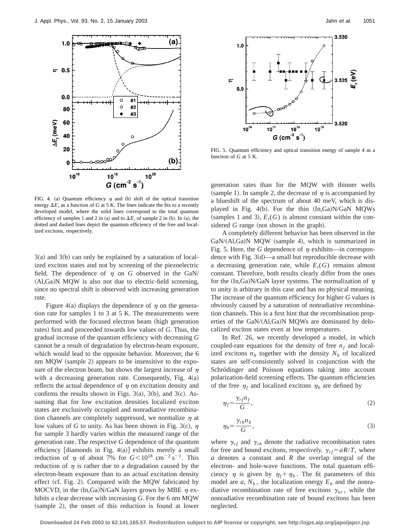

FIG. 4. (a) Quantum efficiency  $\eta$  and (b) shift of the optical transition energy  $\Delta E_t$ , as a function of *G* at 5 K. The lines indicate the fits to a recently developed model, where the solid lines correspond to the total quantum efficiency of samples 1 and 2 in (a) and to  $\Delta E_t$  of sample 2 in (b). In (a), the dotted and dashed lines depict the quantum efficiency of the free and localized excitons, respectively.

 $3(a)$  and  $3(b)$  can only be explained by a saturation of localized exciton states and not by screening of the piezoelectric field. The dependence of  $\eta$  on *G* observed in the GaN/  $(AI, Ga)$ N MQW is also not due to electric-field screening, since no spectral shift is observed with increasing generation rate.

Figure 4(a) displays the dependence of  $\eta$  on the generation rate for samples 1 to 3 at 5 K. The measurements were performed with the focused electron beam (high generation rates) first and proceeded towards low values of *G*. Thus, the gradual increase of the quantum efficiency with decreasing *G* cannot be a result of degradation by electron-beam exposure, which would lead to the opposite behavior. Moreover, the 6 nm MQW (sample 2) appears to be insensitive to the exposure of the electron beam, but shows the largest increase of  $\eta$ with a decreasing generation rate. Consequently, Fig.  $4(a)$ reflects the actual dependence of  $\eta$  on excitation density and confirms the results shown in Figs. 3(a), 3(b), and 3(c). Assuming that for low excitation densities localized exciton states are exclusively occupied and nonradiative recombination channels are completely suppressed, we normalize  $\eta$  at low values of *G* to unity. As has been shown in Fig. 3(c),  $\eta$ for sample 3 hardly varies within the measured range of the generation rate. The respective *G* dependence of the quantum efficiency [diamonds in Fig.  $4(a)$ ] exhibits merely a small reduction of  $\eta$  of about 7% for  $G \le 10^{18}$  cm<sup>-2</sup> s<sup>-1</sup>. This reduction of  $\eta$  is rather due to a degradation caused by the electron-beam exposure than to an actual excitation density effect (cf. Fig. 2). Compared with the MQW fabricated by MOCVD, in the  $(In,Ga)N/GaN$  layers grown by MBE  $\eta$  exhibits a clear decrease with increasing *G*. For the 6 nm MQW (sample 2), the onset of this reduction is found at lower



FIG. 5. Quantum efficiency and optical transition energy of sample 4 as a function of *G* at 5 K.

generation rates than for the MQW with thinner wells (sample 1). In sample 2, the decrease of  $\eta$  is accompanied by a blueshift of the spectrum of about 40 meV, which is displayed in Fig. 4(b). For the thin  $(In,Ga)N/GaN$  MQWs (samples 1 and 3),  $E_t(G)$  is almost constant within the considered  $G$  range (not shown in the graph).

A completely different behavior has been observed in the  $GaN/(Al,Ga)N$  MQW (sample 4), which is summarized in Fig. 5. Here, the G dependence of  $\eta$  exhibits—in correspondence with Fig.  $3(d)$ —a small but reproducible decrease with a decreasing generation rate, while  $E_t(G)$  remains almost constant. Therefore, both results clearly differ from the ones for the  $(In,Ga)N/GaN$  layer systems. The normalization of  $n$ to unity is arbitrary in this case and has no physical meaning. The increase of the quantum efficiency for higher *G* values is obviously caused by a saturation of nonradiative recombination channels. This is a first hint that the recombination properties of the  $GaN/(A1,Ga)N$  MQWs are dominated by delocalized exciton states even at low temperatures.

In Ref. 26, we recently developed a model, in which coupled-rate equations for the density of free  $n_f$  and localized excitons  $n<sub>b</sub>$  together with the density  $N<sub>b</sub>$  of localized states are self-consistently solved in conjunction with the Schrödinger and Poisson equations taking into account polarization-field screening effects. The quantum efficiencies of the free  $\eta_f$  and localized excitons  $\eta_b$  are defined by

$$
\eta_f = \frac{\gamma_{rf} n_f}{G},\tag{2}
$$

$$
\eta_b = \frac{\gamma_{rb} n_b}{G},\tag{3}
$$

where  $\gamma_{rf}$  and  $\gamma_{rb}$  denote the radiative recombination rates for free and bound excitons, respectively.  $\gamma_{rf} = aR/T$ , where *a* denotes a constant and *R* the overlap integral of the electron- and hole-wave functions. The total quantum efficiency  $\eta$  is given by  $\eta_f + \eta_b$ . The fit parameters of this model are  $a, N_b$ , the localization energy  $E_b$  and the nonradiative recombination rate of free excitons  $\gamma_{nr}$ , while the nonradiative recombination rate of bound excitons has been neglected.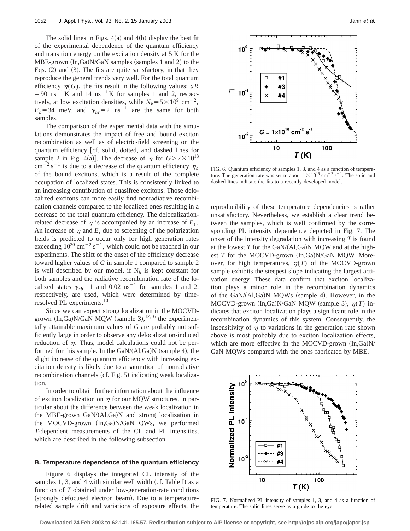The solid lines in Figs.  $4(a)$  and  $4(b)$  display the best fit of the experimental dependence of the quantum efficiency and transition energy on the excitation density at 5 K for the  $MBE-grown (In,Ga)N/GaN$  samples (samples 1 and 2) to the Eqs.  $(2)$  and  $(3)$ . The fits are quite satisfactory, in that they reproduce the general trends very well. For the total quantum efficiency  $\eta(G)$ , the fits result in the following values: *aR*  $=90$  ns<sup>-1</sup> K and 14 ns<sup>-1</sup> K for samples 1 and 2, respectively, at low excitation densities, while  $N_b = 5 \times 10^9 \text{ cm}^{-2}$ ,  $E_b$ =34 meV, and  $\gamma_{nr}$ =2 ns<sup>-1</sup> are the same for both samples.

The comparison of the experimental data with the simulations demonstrates the impact of free and bound exciton recombination as well as of electric-field screening on the quantum efficiency [cf. solid, dotted, and dashed lines for sample 2 in Fig. 4(a)]. The decrease of  $\eta$  for  $G > 2 \times 10^{18}$  $\text{cm}^{-2} \text{ s}^{-1}$  is due to a decrease of the quantum efficiency  $\eta_b$ of the bound excitons, which is a result of the complete occupation of localized states. This is consistently linked to an increasing contribution of quasifree excitons. Those delocalized excitons can more easily find nonradiative recombination channels compared to the localized ones resulting in a decrease of the total quantum efficiency. The delocalizationrelated decrease of  $\eta$  is accompanied by an increase of  $E_t$ . An increase of  $\eta$  and  $E_t$  due to screening of the polarization fields is predicted to occur only for high generation rates exceeding  $10^{20}$  cm<sup>-2</sup> s<sup>-1</sup>, which could not be reached in our experiments. The shift of the onset of the efficiency decrease toward higher values of *G* in sample 1 compared to sample 2 is well described by our model, if  $N_b$  is kept constant for both samples and the radiative recombination rate of the localized states  $\gamma_{rb}$ =1 and 0.02 ns<sup>-1</sup> for samples 1 and 2, respectively, are used, which were determined by timeresolved PL experiments.<sup>10</sup>

Since we can expect strong localization in the MOCVDgrown  $(In,Ga)N/GaN$  MQW  $(sample 3)$ ,  $^{12,16}$  the experimentally attainable maximum values of *G* are probably not sufficiently large in order to observe any delocalization-induced reduction of  $\eta$ . Thus, model calculations could not be performed for this sample. In the  $GaN/(Al,Ga)N$  (sample 4), the slight increase of the quantum efficiency with increasing excitation density is likely due to a saturation of nonradiative recombination channels (cf. Fig.  $5$ ) indicating weak localization.

In order to obtain further information about the influence of exciton localization on  $\eta$  for our MQW structures, in particular about the difference between the weak localization in the MBE-grown  $GaN/(A1,Ga)N$  and strong localization in the MOCVD-grown (In,Ga)N/GaN QWs, we performed *T*-dependent measurements of the CL and PL intensities, which are described in the following subsection.

## **B. Temperature dependence of the quantum efficiency**

Figure 6 displays the integrated CL intensity of the samples 1, 3, and 4 with similar well width  $(cf.$  Table I) as a function of *T* obtained under low-generation-rate conditions (strongly defocused electron beam). Due to a temperaturerelated sample drift and variations of exposure effects, the



FIG. 6. Quantum efficiency of samples 1, 3, and 4 as a function of temperature. The generation rate was set to about  $1 \times 10^{16}$  cm<sup>-2</sup> s<sup>-1</sup>. The solid and dashed lines indicate the fits to a recently developed model.

reproducibility of these temperature dependencies is rather unsatisfactory. Nevertheless, we establish a clear trend between the samples, which is well confirmed by the corresponding PL intensity dependence depicted in Fig. 7. The onset of the intensity degradation with increasing *T* is found at the lowest  $T$  for the GaN/ $(AI, Ga)$ N MQW and at the highest  $T$  for the MOCVD-grown  $(In,Ga)N/GaN$  MQW. Moreover, for high temperatures,  $\eta(T)$  of the MOCVD-grown sample exhibits the steepest slope indicating the largest activation energy. These data confirm that exciton localization plays a minor role in the recombination dynamics of the  $GaN/(Al,Ga)N$  MQWs (sample 4). However, in the MOCVD-grown  $(In,Ga)N/GaN$  MQW  $(sample 3)$ ,  $\eta(T)$  indicates that exciton localization plays a significant role in the recombination dynamics of this system. Consequently, the insensitivity of  $\eta$  to variations in the generation rate shown above is most probably due to exciton localization effects, which are more effective in the MOCVD-grown  $(In,Ga)N/$ GaN MQWs compared with the ones fabricated by MBE.



FIG. 7. Normalized PL intensity of samples 1, 3, and 4 as a function of temperature. The solid lines serve as a guide to the eye.

**Downloaded 24 Feb 2003 to 62.141.165.57. Redistribution subject to AIP license or copyright, see http://ojps.aip.org/japo/japcr.jsp**